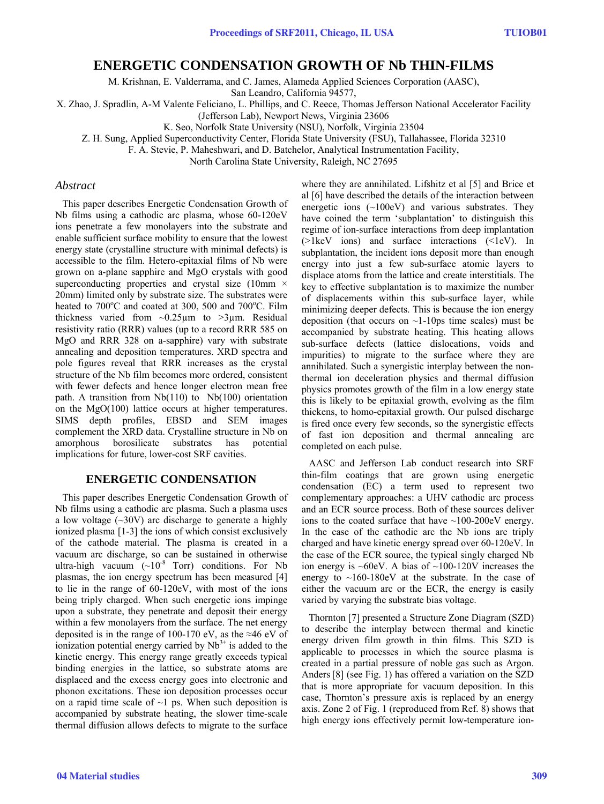# **ENERGETIC CONDENSATION GROWTH OF Nb THIN-FILMS**

M. Krishnan, E. Valderrama, and C. James, Alameda Applied Sciences Corporation (AASC),

San Leandro, California 94577,

X. Zhao, J. Spradlin, A-M Valente Feliciano, L. Phillips, and C. Reece, Thomas Jefferson National Accelerator Facility

(Jefferson Lab), Newport News, Virginia 23606

K. Seo, Norfolk State University (NSU), Norfolk, Virginia 23504

Z. H. Sung, Applied Superconductivity Center, Florida State University (FSU), Tallahassee, Florida 32310

F. A. Stevie, P. Maheshwari, and D. Batchelor, Analytical Instrumentation Facility,

North Carolina State University, Raleigh, NC 27695

### *Abstract*

This paper describes Energetic Condensation Growth of Nb films using a cathodic arc plasma, whose 60-120eV ions penetrate a few monolayers into the substrate and enable sufficient surface mobility to ensure that the lowest energy state (crystalline structure with minimal defects) is accessible to the film. Hetero-epitaxial films of Nb were grown on a-plane sapphire and MgO crystals with good superconducting properties and crystal size (10mm  $\times$ 20mm) limited only by substrate size. The substrates were heated to 700°C and coated at 300, 500 and 700°C. Film thickness varied from  $\sim 0.25 \mu m$  to  $>3 \mu m$ . Residual resistivity ratio (RRR) values (up to a record RRR 585 on MgO and RRR 328 on a-sapphire) vary with substrate annealing and deposition temperatures. XRD spectra and pole figures reveal that RRR increases as the crystal structure of the Nb film becomes more ordered, consistent with fewer defects and hence longer electron mean free path. A transition from Nb(110) to Nb(100) orientation on the MgO(100) lattice occurs at higher temperatures. SIMS depth profiles, EBSD and SEM images complement the XRD data. Crystalline structure in Nb on amorphous borosilicate substrates has potential implications for future, lower-cost SRF cavities.

### **ENERGETIC CONDENSATION**

This paper describes Energetic Condensation Growth of Nb films using a cathodic arc plasma. Such a plasma uses a low voltage  $(\sim 30V)$  arc discharge to generate a highly ionized plasma [1-3] the ions of which consist exclusively of the cathode material. The plasma is created in a vacuum arc discharge, so can be sustained in otherwise ultra-high vacuum  $({\sim}10^{-8}$  Torr) conditions. For Nb plasmas, the ion energy spectrum has been measured [4] to lie in the range of 60-120eV, with most of the ions being triply charged. When such energetic ions impinge upon a substrate, they penetrate and deposit their energy within a few monolayers from the surface. The net energy deposited is in the range of 100-170 eV, as the ≈46 eV of ionization potential energy carried by  $Nb<sup>3+</sup>$  is added to the kinetic energy. This energy range greatly exceeds typical binding energies in the lattice, so substrate atoms are displaced and the excess energy goes into electronic and phonon excitations. These ion deposition processes occur on a rapid time scale of  $\sim$ 1 ps. When such deposition is accompanied by substrate heating, the slower time-scale thermal diffusion allows defects to migrate to the surface

where they are annihilated. Lifshitz et al [5] and Brice et al [6] have described the details of the interaction between energetic ions  $(\sim 100$ eV) and various substrates. They have coined the term 'subplantation' to distinguish this regime of ion-surface interactions from deep implantation (>1keV ions) and surface interactions (<1eV). In subplantation, the incident ions deposit more than enough energy into just a few sub-surface atomic layers to displace atoms from the lattice and create interstitials. The key to effective subplantation is to maximize the number of displacements within this sub-surface layer, while minimizing deeper defects. This is because the ion energy deposition (that occurs on  $\sim$ 1-10ps time scales) must be accompanied by substrate heating. This heating allows sub-surface defects (lattice dislocations, voids and impurities) to migrate to the surface where they are annihilated. Such a synergistic interplay between the nonthermal ion deceleration physics and thermal diffusion physics promotes growth of the film in a low energy state this is likely to be epitaxial growth, evolving as the film thickens, to homo-epitaxial growth. Our pulsed discharge is fired once every few seconds, so the synergistic effects of fast ion deposition and thermal annealing are completed on each pulse.

AASC and Jefferson Lab conduct research into SRF thin-film coatings that are grown using energetic condensation (EC) a term used to represent two complementary approaches: a UHV cathodic arc process and an ECR source process. Both of these sources deliver ions to the coated surface that have  $\sim$ 100-200eV energy. In the case of the cathodic arc the Nb ions are triply charged and have kinetic energy spread over 60-120eV. In the case of the ECR source, the typical singly charged Nb ion energy is  $\sim$  60eV. A bias of  $\sim$  100-120V increases the energy to  $~160-180$ eV at the substrate. In the case of either the vacuum arc or the ECR, the energy is easily varied by varying the substrate bias voltage.

Thornton [7] presented a Structure Zone Diagram (SZD) to describe the interplay between thermal and kinetic energy driven film growth in thin films. This SZD is applicable to processes in which the source plasma is created in a partial pressure of noble gas such as Argon. Anders [8] (see Fig. 1) has offered a variation on the SZD that is more appropriate for vacuum deposition. In this case, Thornton's pressure axis is replaced by an energy axis. Zone 2 of Fig. 1 (reproduced from Ref. 8) shows that high energy ions effectively permit low-temperature ion-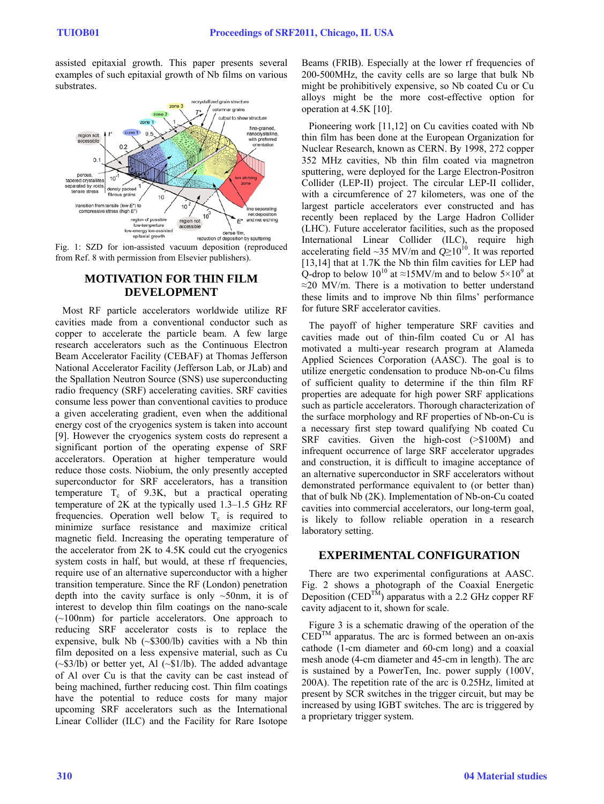assisted epitaxial growth. This paper presents several examples of such epitaxial growth of Nb films on various substrates.



Fig. 1: SZD for ion-assisted vacuum deposition (reproduced from Ref. 8 with permission from Elsevier publishers).

## **MOTIVATION FOR THIN FILM DEVELOPMENT**

Most RF particle accelerators worldwide utilize RF cavities made from a conventional conductor such as copper to accelerate the particle beam. A few large research accelerators such as the Continuous Electron Beam Accelerator Facility (CEBAF) at Thomas Jefferson National Accelerator Facility (Jefferson Lab, or JLab) and the Spallation Neutron Source (SNS) use superconducting radio frequency (SRF) accelerating cavities. SRF cavities consume less power than conventional cavities to produce a given accelerating gradient, even when the additional energy cost of the cryogenics system is taken into account [9]. However the cryogenics system costs do represent a significant portion of the operating expense of SRF accelerators. Operation at higher temperature would reduce those costs. Niobium, the only presently accepted superconductor for SRF accelerators, has a transition temperature  $T_c$  of 9.3K, but a practical operating temperature of 2K at the typically used 1.3–1.5 GHz RF frequencies. Operation well below  $T_c$  is required to minimize surface resistance and maximize critical magnetic field. Increasing the operating temperature of the accelerator from 2K to 4.5K could cut the cryogenics system costs in half, but would, at these rf frequencies, require use of an alternative superconductor with a higher transition temperature. Since the RF (London) penetration depth into the cavity surface is only  $\sim$ 50nm, it is of interest to develop thin film coatings on the nano-scale (~100nm) for particle accelerators. One approach to reducing SRF accelerator costs is to replace the expensive, bulk Nb  $(-\$300/lb)$  cavities with a Nb thin film deposited on a less expensive material, such as Cu  $(-\$3/lb)$  or better yet, Al  $(-\$1/lb)$ . The added advantage of Al over Cu is that the cavity can be cast instead of being machined, further reducing cost. Thin film coatings have the potential to reduce costs for many major upcoming SRF accelerators such as the International Linear Collider (ILC) and the Facility for Rare Isotope

Beams (FRIB). Especially at the lower rf frequencies of 200-500MHz, the cavity cells are so large that bulk Nb might be prohibitively expensive, so Nb coated Cu or Cu alloys might be the more cost-effective option for operation at 4.5K [10].

Pioneering work [11,12] on Cu cavities coated with Nb thin film has been done at the European Organization for Nuclear Research, known as CERN. By 1998, 272 copper 352 MHz cavities, Nb thin film coated via magnetron sputtering, were deployed for the Large Electron-Positron Collider (LEP-II) project. The circular LEP-II collider, with a circumference of 27 kilometers, was one of the largest particle accelerators ever constructed and has recently been replaced by the Large Hadron Collider (LHC). Future accelerator facilities, such as the proposed International Linear Collider (ILC), require high accelerating field ~35 MV/m and  $Q \ge 10^{10}$ . It was reported [13,14] that at 1.7K the Nb thin film cavities for LEP had Q-drop to below  $10^{10}$  at ≈15MV/m and to below 5×10<sup>9</sup> at  $\approx$ 20 MV/m. There is a motivation to better understand these limits and to improve Nb thin films' performance for future SRF accelerator cavities.

The payoff of higher temperature SRF cavities and cavities made out of thin-film coated Cu or Al has motivated a multi-year research program at Alameda Applied Sciences Corporation (AASC). The goal is to utilize energetic condensation to produce Nb-on-Cu films of sufficient quality to determine if the thin film RF properties are adequate for high power SRF applications such as particle accelerators. Thorough characterization of the surface morphology and RF properties of Nb-on-Cu is a necessary first step toward qualifying Nb coated Cu SRF cavities. Given the high-cost (>\$100M) and infrequent occurrence of large SRF accelerator upgrades and construction, it is difficult to imagine acceptance of an alternative superconductor in SRF accelerators without demonstrated performance equivalent to (or better than) that of bulk Nb (2K). Implementation of Nb-on-Cu coated cavities into commercial accelerators, our long-term goal, is likely to follow reliable operation in a research laboratory setting.

### **EXPERIMENTAL CONFIGURATION**

There are two experimental configurations at AASC. Fig. 2 shows a photograph of the Coaxial Energetic Deposition ( $CED<sup>TM</sup>$ ) apparatus with a 2.2 GHz copper RF cavity adjacent to it, shown for scale.

Figure 3 is a schematic drawing of the operation of the  $\widetilde{\mathrm{CED}}^{\mathrm{TM}}$  apparatus. The arc is formed between an on-axis cathode (1-cm diameter and 60-cm long) and a coaxial mesh anode (4-cm diameter and 45-cm in length). The arc is sustained by a PowerTen, Inc. power supply (100V, 200A). The repetition rate of the arc is 0.25Hz, limited at present by SCR switches in the trigger circuit, but may be increased by using IGBT switches. The arc is triggered by a proprietary trigger system.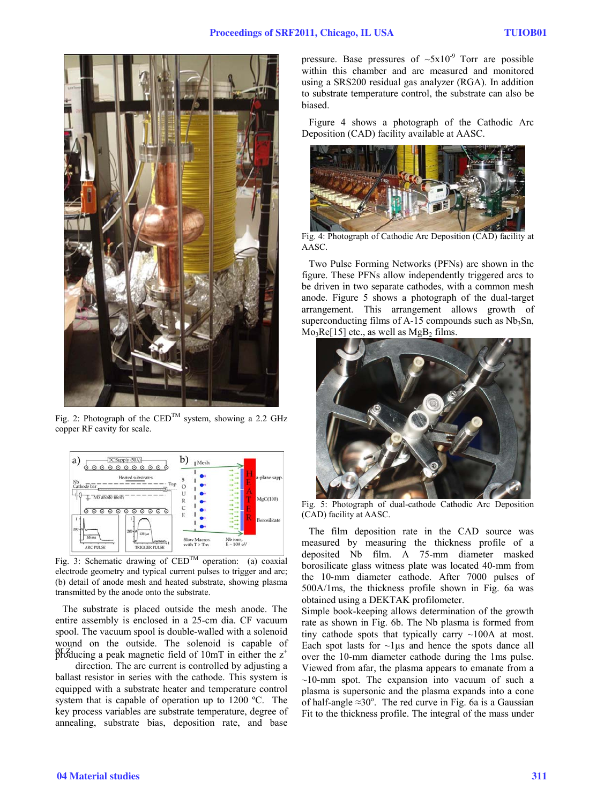

Fig. 2: Photograph of the CED<sup>TM</sup> system, showing a 2.2 GHz copper RF cavity for scale.



Fig. 3: Schematic drawing of  $\mathrm{CED}^{\mathrm{TM}}$  operation: (a) coaxial electrode geometry and typical current pulses to trigger and arc; (b) detail of anode mesh and heated substrate, showing plasma transmitted by the anode onto the substrate.

The substrate is placed outside the mesh anode. The entire assembly is enclosed in a 25-cm dia. CF vacuum spool. The vacuum spool is double-walled with a solenoid wound on the outside. The solenoid is capable of producing a peak magnetic field of 10mT in either the  $z^+$ 

 direction. The arc current is controlled by adjusting a ballast resistor in series with the cathode. This system is equipped with a substrate heater and temperature control system that is capable of operation up to 1200 °C. The key process variables are substrate temperature, degree of annealing, substrate bias, deposition rate, and base

pressure. Base pressures of  $\sim 5x10^{-9}$  Torr are possible within this chamber and are measured and monitored using a SRS200 residual gas analyzer (RGA). In addition to substrate temperature control, the substrate can also be biased.

Figure 4 shows a photograph of the Cathodic Arc Deposition (CAD) facility available at AASC.



Fig. 4: Photograph of Cathodic Arc Deposition (CAD) facility at AASC.

Two Pulse Forming Networks (PFNs) are shown in the figure. These PFNs allow independently triggered arcs to be driven in two separate cathodes, with a common mesh anode. Figure 5 shows a photograph of the dual-target arrangement. This arrangement allows growth of superconducting films of A-15 compounds such as  $Nb<sub>3</sub>Sn$ ,  $Mo<sub>3</sub>Re[15]$  etc., as well as  $MgB<sub>2</sub>$  films.



Fig. 5: Photograph of dual-cathode Cathodic Arc Deposition (CAD) facility at AASC.

The film deposition rate in the CAD source was measured by measuring the thickness profile of a deposited Nb film. A 75-mm diameter masked borosilicate glass witness plate was located 40-mm from the 10-mm diameter cathode. After 7000 pulses of 500A/1ms, the thickness profile shown in Fig. 6a was obtained using a DEKTAK profilometer.

Simple book-keeping allows determination of the growth rate as shown in Fig. 6b. The Nb plasma is formed from tiny cathode spots that typically carry  $\sim$ 100A at most. Each spot lasts for  $\sim$ 1µs and hence the spots dance all over the 10-mm diameter cathode during the 1ms pulse. Viewed from afar, the plasma appears to emanate from a  $\sim$ 10-mm spot. The expansion into vacuum of such a plasma is supersonic and the plasma expands into a cone of half-angle  $\approx 30^\circ$ . The red curve in Fig. 6a is a Gaussian Fit to the thickness profile. The integral of the mass under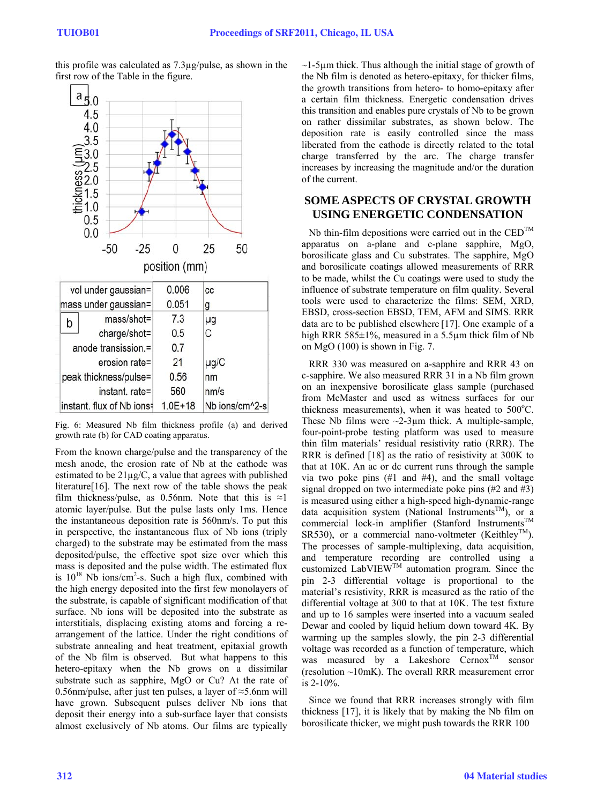this profile was calculated as 7.3µg/pulse, as shown in the first row of the Table in the figure.



Fig. 6: Measured Nb film thickness profile (a) and derived growth rate (b) for CAD coating apparatus.

From the known charge/pulse and the transparency of the mesh anode, the erosion rate of Nb at the cathode was estimated to be 21µg/C, a value that agrees with published literature[16]. The next row of the table shows the peak film thickness/pulse, as 0.56nm. Note that this is  $\approx$ 1 atomic layer/pulse. But the pulse lasts only 1ms. Hence the instantaneous deposition rate is 560nm/s. To put this in perspective, the instantaneous flux of Nb ions (triply charged) to the substrate may be estimated from the mass deposited/pulse, the effective spot size over which this mass is deposited and the pulse width. The estimated flux is  $10^{18}$  Nb ions/cm<sup>2</sup>-s. Such a high flux, combined with the high energy deposited into the first few monolayers of the substrate, is capable of significant modification of that surface. Nb ions will be deposited into the substrate as interstitials, displacing existing atoms and forcing a rearrangement of the lattice. Under the right conditions of substrate annealing and heat treatment, epitaxial growth of the Nb film is observed. But what happens to this hetero-epitaxy when the Nb grows on a dissimilar substrate such as sapphire, MgO or Cu? At the rate of 0.56nm/pulse, after just ten pulses, a layer of ≈5.6nm will have grown. Subsequent pulses deliver Nb ions that deposit their energy into a sub-surface layer that consists almost exclusively of Nb atoms. Our films are typically

 $\sim$ 1-5 $\mu$ m thick. Thus although the initial stage of growth of the Nb film is denoted as hetero-epitaxy, for thicker films, the growth transitions from hetero- to homo-epitaxy after a certain film thickness. Energetic condensation drives this transition and enables pure crystals of Nb to be grown on rather dissimilar substrates, as shown below. The deposition rate is easily controlled since the mass liberated from the cathode is directly related to the total charge transferred by the arc. The charge transfer increases by increasing the magnitude and/or the duration of the current.

## **SOME ASPECTS OF CRYSTAL GROWTH USING ENERGETIC CONDENSATION**

Nb thin-film depositions were carried out in the  $\mathrm{CED}^{\mathrm{TM}}$ apparatus on a-plane and c-plane sapphire, MgO, borosilicate glass and Cu substrates. The sapphire, MgO and borosilicate coatings allowed measurements of RRR to be made, whilst the Cu coatings were used to study the influence of substrate temperature on film quality. Several tools were used to characterize the films: SEM, XRD, EBSD, cross-section EBSD, TEM, AFM and SIMS. RRR data are to be published elsewhere [17]. One example of a high RRR 585±1%, measured in a 5.5µm thick film of Nb on MgO (100) is shown in Fig. 7.

RRR 330 was measured on a-sapphire and RRR 43 on c-sapphire. We also measured RRR 31 in a Nb film grown on an inexpensive borosilicate glass sample (purchased from McMaster and used as witness surfaces for our thickness measurements), when it was heated to  $500^{\circ}$ C. These Nb films were  $\sim$ 2-3 $\mu$ m thick. A multiple-sample, four-point-probe testing platform was used to measure thin film materials' residual resistivity ratio (RRR). The RRR is defined [18] as the ratio of resistivity at 300K to that at 10K. An ac or dc current runs through the sample via two poke pins (#1 and #4), and the small voltage signal dropped on two intermediate poke pins (#2 and #3) is measured using either a high-speed high-dynamic-range data acquisition system (National Instruments<sup>TM</sup>), or a commercial lock-in amplifier (Stanford Instruments<sup>TM</sup> SR530), or a commercial nano-voltmeter (Keithley<sup>TM</sup>). The processes of sample-multiplexing, data acquisition, and temperature recording are controlled using a customized LabVIEWTM automation program. Since the pin 2-3 differential voltage is proportional to the material's resistivity, RRR is measured as the ratio of the differential voltage at 300 to that at 10K. The test fixture and up to 16 samples were inserted into a vacuum sealed Dewar and cooled by liquid helium down toward 4K. By warming up the samples slowly, the pin 2-3 differential voltage was recorded as a function of temperature, which was measured by a Lakeshore  $Cernox^{TM}$  sensor (resolution ~10mK). The overall RRR measurement error is 2-10%.

Since we found that RRR increases strongly with film thickness [17], it is likely that by making the Nb film on borosilicate thicker, we might push towards the RRR 100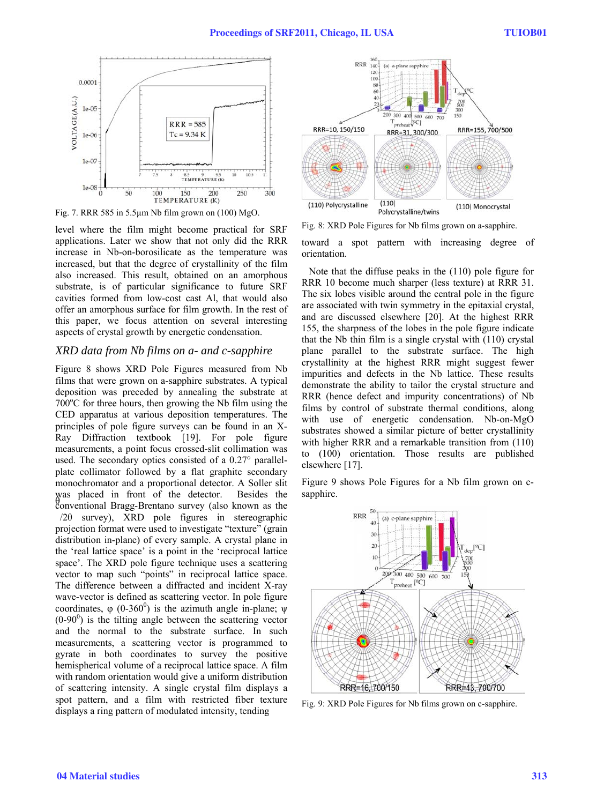

Fig. 7. RRR 585 in 5.5µm Nb film grown on (100) MgO.

level where the film might become practical for SRF applications. Later we show that not only did the RRR increase in Nb-on-borosilicate as the temperature was increased, but that the degree of crystallinity of the film also increased. This result, obtained on an amorphous substrate, is of particular significance to future SRF cavities formed from low-cost cast Al, that would also offer an amorphous surface for film growth. In the rest of this paper, we focus attention on several interesting aspects of crystal growth by energetic condensation.

### *XRD data from Nb films on a- and c-sapphire*

Figure 8 shows XRD Pole Figures measured from Nb films that were grown on a-sapphire substrates. A typical deposition was preceded by annealing the substrate at 700°C for three hours, then growing the Nb film using the CED apparatus at various deposition temperatures. The principles of pole figure surveys can be found in an X-Ray Diffraction textbook [19]. For pole figure measurements, a point focus crossed-slit collimation was used. The secondary optics consisted of a 0.27° parallelplate collimator followed by a flat graphite secondary monochromator and a proportional detector. A Soller slit was placed in front of the detector. Besides the conventional Bragg-Brentano survey (also known as the /2θ survey), XRD pole figures in stereographic projection format were used to investigate "texture" (grain distribution in-plane) of every sample. A crystal plane in the 'real lattice space' is a point in the 'reciprocal lattice space'. The XRD pole figure technique uses a scattering vector to map such "points" in reciprocal lattice space. The difference between a diffracted and incident X-ray wave-vector is defined as scattering vector. In pole figure coordinates,  $\varphi$  (0-360<sup>0</sup>) is the azimuth angle in-plane;  $\psi$  $(0-90<sup>0</sup>)$  is the tilting angle between the scattering vector and the normal to the substrate surface. In such measurements, a scattering vector is programmed to gyrate in both coordinates to survey the positive hemispherical volume of a reciprocal lattice space. A film with random orientation would give a uniform distribution of scattering intensity. A single crystal film displays a spot pattern, and a film with restricted fiber texture displays a ring pattern of modulated intensity, tending



Fig. 8: XRD Pole Figures for Nb films grown on a-sapphire.

toward a spot pattern with increasing degree of orientation.

Note that the diffuse peaks in the (110) pole figure for RRR 10 become much sharper (less texture) at RRR 31. The six lobes visible around the central pole in the figure are associated with twin symmetry in the epitaxial crystal, and are discussed elsewhere [20]. At the highest RRR 155, the sharpness of the lobes in the pole figure indicate that the Nb thin film is a single crystal with (110) crystal plane parallel to the substrate surface. The high crystallinity at the highest RRR might suggest fewer impurities and defects in the Nb lattice. These results demonstrate the ability to tailor the crystal structure and RRR (hence defect and impurity concentrations) of Nb films by control of substrate thermal conditions, along with use of energetic condensation. Nb-on-MgO substrates showed a similar picture of better crystallinity with higher RRR and a remarkable transition from (110) to (100) orientation. Those results are published elsewhere [17].

Figure 9 shows Pole Figures for a Nb film grown on csapphire.



Fig. 9: XRD Pole Figures for Nb films grown on c-sapphire.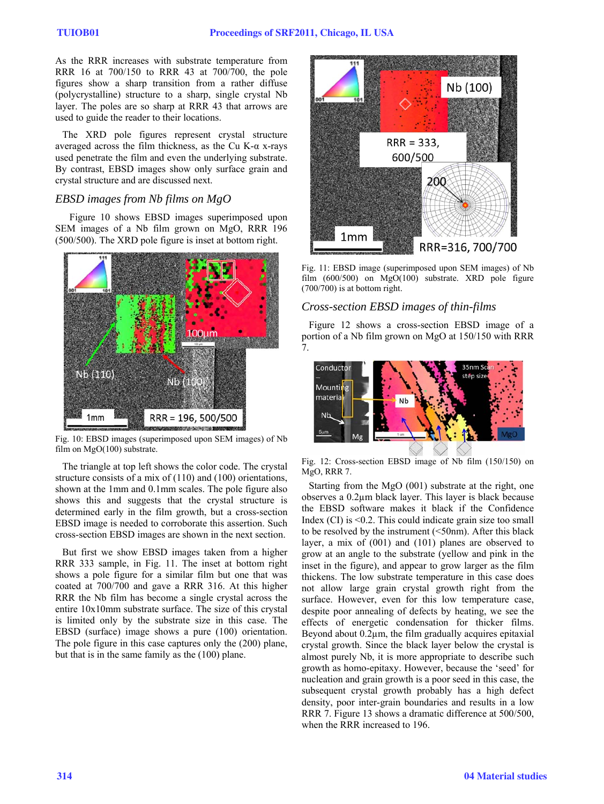As the RRR increases with substrate temperature from RRR 16 at 700/150 to RRR 43 at 700/700, the pole figures show a sharp transition from a rather diffuse (polycrystalline) structure to a sharp, single crystal Nb layer. The poles are so sharp at RRR 43 that arrows are used to guide the reader to their locations.

The XRD pole figures represent crystal structure averaged across the film thickness, as the Cu K-α x-rays used penetrate the film and even the underlying substrate. By contrast, EBSD images show only surface grain and crystal structure and are discussed next.

## *EBSD images from Nb films on MgO*

 Figure 10 shows EBSD images superimposed upon SEM images of a Nb film grown on MgO, RRR 196 (500/500). The XRD pole figure is inset at bottom right.



Fig. 10: EBSD images (superimposed upon SEM images) of Nb film on MgO(100) substrate.

The triangle at top left shows the color code. The crystal structure consists of a mix of (110) and (100) orientations, shown at the 1mm and 0.1mm scales. The pole figure also shows this and suggests that the crystal structure is determined early in the film growth, but a cross-section EBSD image is needed to corroborate this assertion. Such cross-section EBSD images are shown in the next section.

But first we show EBSD images taken from a higher RRR 333 sample, in Fig. 11. The inset at bottom right shows a pole figure for a similar film but one that was coated at 700/700 and gave a RRR 316. At this higher RRR the Nb film has become a single crystal across the entire 10x10mm substrate surface. The size of this crystal is limited only by the substrate size in this case. The EBSD (surface) image shows a pure (100) orientation. The pole figure in this case captures only the (200) plane, but that is in the same family as the (100) plane.



Fig. 11: EBSD image (superimposed upon SEM images) of Nb film (600/500) on MgO(100) substrate. XRD pole figure (700/700) is at bottom right.

## *Cross-section EBSD images of thin-films*

Figure 12 shows a cross-section EBSD image of a portion of a Nb film grown on MgO at 150/150 with RRR 7.



Fig. 12: Cross-section EBSD image of Nb film (150/150) on MgO, RRR 7.

Starting from the MgO (001) substrate at the right, one observes a 0.2µm black layer. This layer is black because the EBSD software makes it black if the Confidence Index (CI) is <0.2. This could indicate grain size too small to be resolved by the instrument (<50nm). After this black layer, a mix of (001) and (101) planes are observed to grow at an angle to the substrate (yellow and pink in the inset in the figure), and appear to grow larger as the film thickens. The low substrate temperature in this case does not allow large grain crystal growth right from the surface. However, even for this low temperature case, despite poor annealing of defects by heating, we see the effects of energetic condensation for thicker films. Beyond about 0.2µm, the film gradually acquires epitaxial crystal growth. Since the black layer below the crystal is almost purely Nb, it is more appropriate to describe such growth as homo-epitaxy. However, because the 'seed' for nucleation and grain growth is a poor seed in this case, the subsequent crystal growth probably has a high defect density, poor inter-grain boundaries and results in a low RRR 7. Figure 13 shows a dramatic difference at 500/500, when the RRR increased to 196.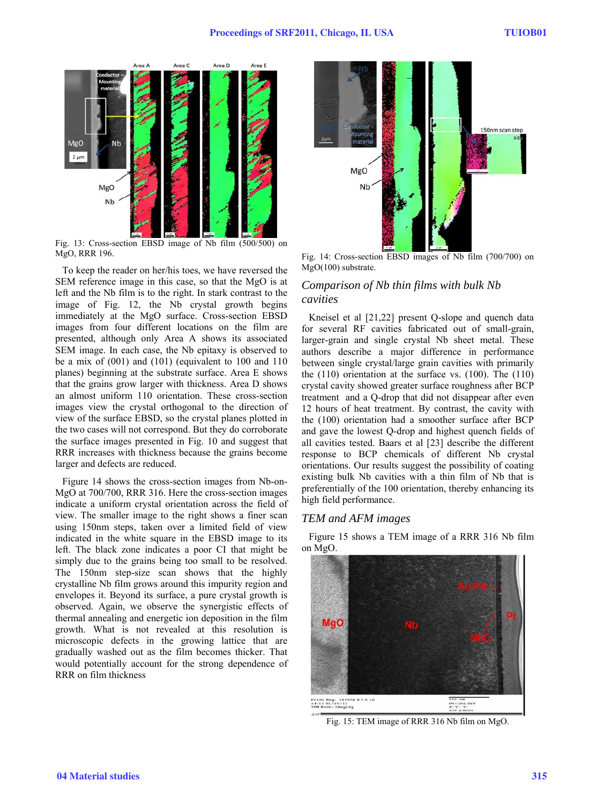

Fig. 13: Cross-section EBSD image of Nb film (500/500) on MgO, RRR 196.

To keep the reader on her/his toes, we have reversed the SEM reference image in this case, so that the MgO is at left and the Nb film is to the right. In stark contrast to the image of Fig. 12, the Nb crystal growth begins immediately at the MgO surface. Cross-section EBSD images from four different locations on the film are presented, although only Area A shows its associated SEM image. In each case, the Nb epitaxy is observed to be a mix of (001) and (101) (equivalent to 100 and 110 planes) beginning at the substrate surface. Area E shows that the grains grow larger with thickness. Area D shows an almost uniform 110 orientation. These cross-section images view the crystal orthogonal to the direction of view of the surface EBSD, so the crystal planes plotted in the two cases will not correspond. But they do corroborate the surface images presented in Fig. 10 and suggest that RRR increases with thickness because the grains become larger and defects are reduced.

Figure 14 shows the cross-section images from Nb-on-MgO at 700/700, RRR 316. Here the cross-section images indicate a uniform crystal orientation across the field of view. The smaller image to the right shows a finer scan using 150nm steps, taken over a limited field of view indicated in the white square in the EBSD image to its left. The black zone indicates a poor CI that might be simply due to the grains being too small to be resolved. The 150nm step-size scan shows that the highly crystalline Nb film grows around this impurity region and envelopes it. Beyond its surface, a pure crystal growth is observed. Again, we observe the synergistic effects of thermal annealing and energetic ion deposition in the film growth. What is not revealed at this resolution is microscopic defects in the growing lattice that are gradually washed out as the film becomes thicker. That would potentially account for the strong dependence of RRR on film thickness



Fig. 14: Cross-section EBSD images of Nb film (700/700) on MgO(100) substrate.

## *Comparison of Nb thin films with bulk Nb cavities*

Kneisel et al [21,22] present Q-slope and quench data for several RF cavities fabricated out of small-grain, larger-grain and single crystal Nb sheet metal. These authors describe a major difference in performance between single crystal/large grain cavities with primarily the  $(110)$  orientation at the surface vs.  $(100)$ . The  $(110)$ crystal cavity showed greater surface roughness after BCP treatment and a Q-drop that did not disappear after even 12 hours of heat treatment. By contrast, the cavity with the (100) orientation had a smoother surface after BCP and gave the lowest Q-drop and highest quench fields of all cavities tested. Baars et al [23] describe the different response to BCP chemicals of different Nb crystal orientations. Our results suggest the possibility of coating existing bulk Nb cavities with a thin film of Nb that is preferentially of the 100 orientation, thereby enhancing its high field performance.

## *TEM and AFM images*

Figure 15 shows a TEM image of a RRR 316 Nb film on MgO.



Fig. 15: TEM image of RRR 316 Nb film on MgO.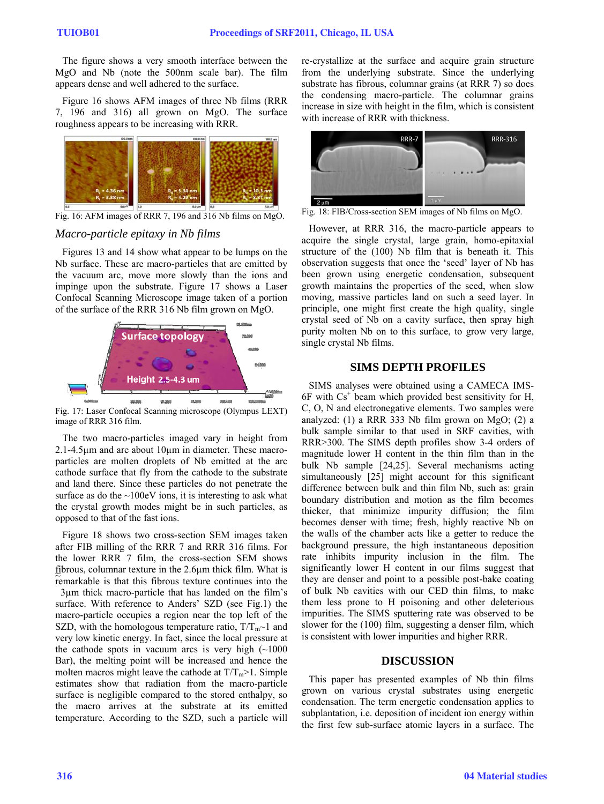The figure shows a very smooth interface between the MgO and Nb (note the 500nm scale bar). The film appears dense and well adhered to the surface.

Figure 16 shows AFM images of three Nb films (RRR 7, 196 and 316) all grown on MgO. The surface roughness appears to be increasing with RRR.



Fig. 16: AFM images of RRR 7, 196 and 316 Nb films on MgO.

### *Macro-particle epitaxy in Nb films*

Figures 13 and 14 show what appear to be lumps on the Nb surface. These are macro-particles that are emitted by the vacuum arc, move more slowly than the ions and impinge upon the substrate. Figure 17 shows a Laser Confocal Scanning Microscope image taken of a portion of the surface of the RRR 316 Nb film grown on MgO.



Fig. 17: Laser Confocal Scanning microscope (Olympus LEXT) image of RRR 316 film.

The two macro-particles imaged vary in height from 2.1-4.5µm and are about 10µm in diameter. These macroparticles are molten droplets of Nb emitted at the arc cathode surface that fly from the cathode to the substrate and land there. Since these particles do not penetrate the surface as do the  $\sim$ 100eV ions, it is interesting to ask what the crystal growth modes might be in such particles, as opposed to that of the fast ions.

Figure 18 shows two cross-section SEM images taken after FIB milling of the RRR 7 and RRR 316 films. For the lower RRR 7 film, the cross-section SEM shows fibrous, columnar texture in the 2.6µm thick film. What is remarkable is that this fibrous texture continues into the

3µm thick macro-particle that has landed on the film's surface. With reference to Anders' SZD (see Fig.1) the macro-particle occupies a region near the top left of the SZD, with the homologous temperature ratio,  $T/T_{\rm m}$ ~1 and very low kinetic energy. In fact, since the local pressure at the cathode spots in vacuum arcs is very high  $(-1000$ Bar), the melting point will be increased and hence the molten macros might leave the cathode at  $T/T<sub>m</sub> > 1$ . Simple estimates show that radiation from the macro-particle surface is negligible compared to the stored enthalpy, so the macro arrives at the substrate at its emitted temperature. According to the SZD, such a particle will

re-crystallize at the surface and acquire grain structure from the underlying substrate. Since the underlying substrate has fibrous, columnar grains (at RRR 7) so does the condensing macro-particle. The columnar grains increase in size with height in the film, which is consistent with increase of RRR with thickness.



Fig. 18: FIB/Cross-section SEM images of Nb films on MgO.

However, at RRR 316, the macro-particle appears to acquire the single crystal, large grain, homo-epitaxial structure of the (100) Nb film that is beneath it. This observation suggests that once the 'seed' layer of Nb has been grown using energetic condensation, subsequent growth maintains the properties of the seed, when slow moving, massive particles land on such a seed layer. In principle, one might first create the high quality, single crystal seed of Nb on a cavity surface, then spray high purity molten Nb on to this surface, to grow very large, single crystal Nb films.

### **SIMS DEPTH PROFILES**

SIMS analyses were obtained using a CAMECA IMS- $6F$  with  $Cs<sup>+</sup>$  beam which provided best sensitivity for H, C, O, N and electronegative elements. Two samples were analyzed: (1) a RRR 333 Nb film grown on MgO; (2) a bulk sample similar to that used in SRF cavities, with RRR>300. The SIMS depth profiles show 3-4 orders of magnitude lower H content in the thin film than in the bulk Nb sample [24,25]. Several mechanisms acting simultaneously [25] might account for this significant difference between bulk and thin film Nb, such as: grain boundary distribution and motion as the film becomes thicker, that minimize impurity diffusion; the film becomes denser with time; fresh, highly reactive Nb on the walls of the chamber acts like a getter to reduce the background pressure, the high instantaneous deposition rate inhibits impurity inclusion in the film. The significantly lower H content in our films suggest that they are denser and point to a possible post-bake coating of bulk Nb cavities with our CED thin films, to make them less prone to H poisoning and other deleterious impurities. The SIMS sputtering rate was observed to be slower for the (100) film, suggesting a denser film, which is consistent with lower impurities and higher RRR.

## **DISCUSSION**

This paper has presented examples of Nb thin films grown on various crystal substrates using energetic condensation. The term energetic condensation applies to subplantation, i.e. deposition of incident ion energy within the first few sub-surface atomic layers in a surface. The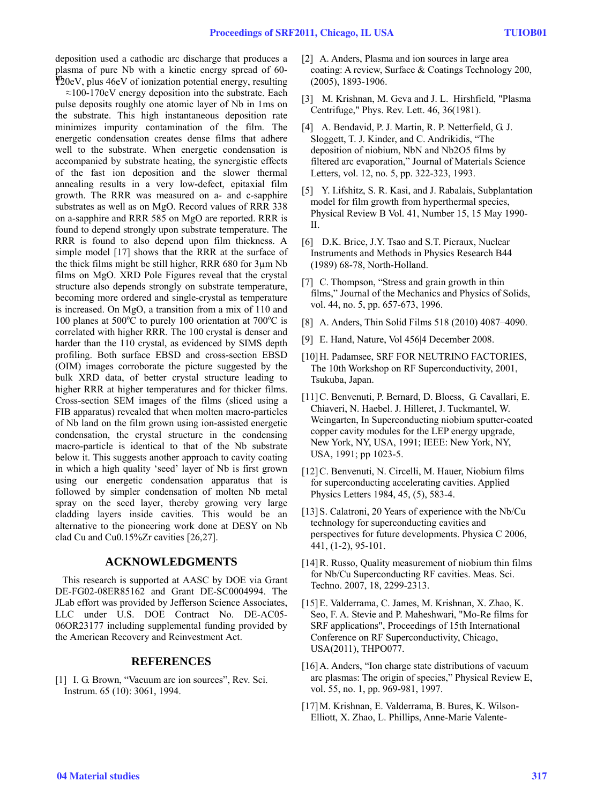deposition used a cathodic arc discharge that produces a plasma of pure Nb with a kinetic energy spread of 60-  $^{112}_{120}$ eV, plus 46eV of ionization potential energy, resulting

 $\approx$ 100-170eV energy deposition into the substrate. Each pulse deposits roughly one atomic layer of Nb in 1ms on the substrate. This high instantaneous deposition rate minimizes impurity contamination of the film. The energetic condensation creates dense films that adhere well to the substrate. When energetic condensation is accompanied by substrate heating, the synergistic effects of the fast ion deposition and the slower thermal annealing results in a very low-defect, epitaxial film growth. The RRR was measured on a- and c-sapphire substrates as well as on MgO. Record values of RRR 338 on a-sapphire and RRR 585 on MgO are reported. RRR is found to depend strongly upon substrate temperature. The RRR is found to also depend upon film thickness. A simple model [17] shows that the RRR at the surface of the thick films might be still higher, RRR 680 for 3µm Nb films on MgO. XRD Pole Figures reveal that the crystal structure also depends strongly on substrate temperature, becoming more ordered and single-crystal as temperature is increased. On MgO, a transition from a mix of 110 and 100 planes at 500°C to purely 100 orientation at 700°C is correlated with higher RRR. The 100 crystal is denser and harder than the 110 crystal, as evidenced by SIMS depth profiling. Both surface EBSD and cross-section EBSD (OIM) images corroborate the picture suggested by the bulk XRD data, of better crystal structure leading to higher RRR at higher temperatures and for thicker films. Cross-section SEM images of the films (sliced using a FIB apparatus) revealed that when molten macro-particles of Nb land on the film grown using ion-assisted energetic condensation, the crystal structure in the condensing macro-particle is identical to that of the Nb substrate below it. This suggests another approach to cavity coating in which a high quality 'seed' layer of Nb is first grown using our energetic condensation apparatus that is followed by simpler condensation of molten Nb metal spray on the seed layer, thereby growing very large cladding layers inside cavities. This would be an alternative to the pioneering work done at DESY on Nb clad Cu and Cu0.15%Zr cavities [26,27].

### **ACKNOWLEDGMENTS**

This research is supported at AASC by DOE via Grant DE-FG02-08ER85162 and Grant DE-SC0004994. The JLab effort was provided by Jefferson Science Associates, LLC under U.S. DOE Contract No. DE-AC05- 06OR23177 including supplemental funding provided by the American Recovery and Reinvestment Act.

#### **REFERENCES**

[1] I. G. Brown, "Vacuum arc ion sources", Rev. Sci. Instrum. 65 (10): 3061, 1994.

- [2] A. Anders, Plasma and ion sources in large area coating: A review, Surface & Coatings Technology 200, (2005), 1893-1906.
- [3] M. Krishnan, M. Geva and J. L. Hirshfield, "Plasma Centrifuge," Phys. Rev. Lett. 46, 36(1981).
- [4] A. Bendavid, P. J. Martin, R. P. Netterfield, G. J. Sloggett, T. J. Kinder, and C. Andrikidis, "The deposition of niobium, NbN and Nb2O5 films by filtered arc evaporation," Journal of Materials Science Letters, vol. 12, no. 5, pp. 322-323, 1993.
- [5] Y. I.ifshitz, S. R. Kasi, and J. Rabalais, Subplantation model for film growth from hyperthermal species, Physical Review B Vol. 41, Number 15, 15 May 1990-  $II$ .
- [6] D.K. Brice, J.Y. Tsao and S.T. Picraux, Nuclear Instruments and Methods in Physics Research B44 (1989) 68-78, North-Holland.
- [7] C. Thompson, "Stress and grain growth in thin films," Journal of the Mechanics and Physics of Solids, vol. 44, no. 5, pp. 657-673, 1996.
- [8] A. Anders, Thin Solid Films 518 (2010) 4087–4090.
- [9] E. Hand, Nature, Vol 456|4 December 2008.
- [10]H. Padamsee, SRF FOR NEUTRINO FACTORIES, The 10th Workshop on RF Superconductivity, 2001, Tsukuba, Japan.
- [11]C. Benvenuti, P. Bernard, D. Bloess, G. Cavallari, E. Chiaveri, N. Haebel. J. Hilleret, J. Tuckmantel, W. Weingarten, In Superconducting niobium sputter-coated copper cavity modules for the LEP energy upgrade, New York, NY, USA, 1991; IEEE: New York, NY, USA, 1991; pp 1023-5.
- [12] C. Benvenuti, N. Circelli, M. Hauer, Niobium films for superconducting accelerating cavities. Applied Physics Letters 1984, 45, (5), 583-4.
- [13] S. Calatroni, 20 Years of experience with the Nb/Cu technology for superconducting cavities and perspectives for future developments. Physica C 2006, 441, (1-2), 95-101.
- [14] R. Russo, Quality measurement of niobium thin films for Nb/Cu Superconducting RF cavities. Meas. Sci. Techno. 2007, 18, 2299-2313.
- [15]E. Valderrama, C. James, M. Krishnan, X. Zhao, K. Seo, F. A. Stevie and P. Maheshwari, "Mo-Re films for SRF applications", Proceedings of 15th International Conference on RF Superconductivity, Chicago, USA(2011), THPO077.
- [16]A. Anders, "Ion charge state distributions of vacuum arc plasmas: The origin of species," Physical Review E, vol. 55, no. 1, pp. 969-981, 1997.
- [17]M. Krishnan, E. Valderrama, B. Bures, K. Wilson-Elliott, X. Zhao, L. Phillips, Anne-Marie Valente-